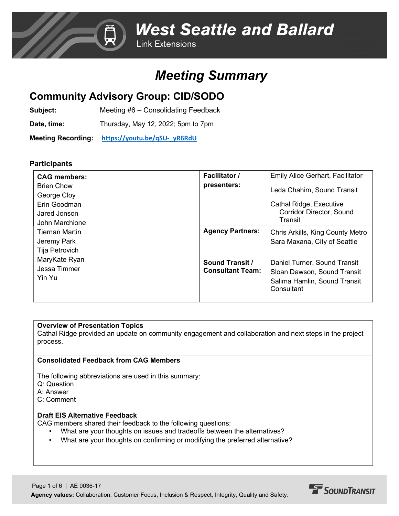# *Meeting Summary*

# **Community Advisory Group: CID/SODO**

**Subject:** Meeting #6 – Consolidating Feedback

**Date, time:** Thursday, May 12, 2022; 5pm to 7pm

**Meeting Recording: [https://youtu.be/qSU-\\_yR6RdU](https://youtu.be/qSU-_yR6RdU)**

## **Participants**

| <b>CAG members:</b><br><b>Brien Chow</b><br>George Cloy<br>Erin Goodman<br>Jared Jonson<br>John Marchione<br><b>Tiernan Martin</b><br>Jeremy Park<br>Tija Petrovich<br>MaryKate Ryan<br>Jessa Timmer<br>Yin Yu | <b>Facilitator /</b><br>presenters:               | <b>Emily Alice Gerhart, Facilitator</b><br>Leda Chahim, Sound Transit<br>Cathal Ridge, Executive<br><b>Corridor Director, Sound</b><br>Transit |
|----------------------------------------------------------------------------------------------------------------------------------------------------------------------------------------------------------------|---------------------------------------------------|------------------------------------------------------------------------------------------------------------------------------------------------|
|                                                                                                                                                                                                                | <b>Agency Partners:</b>                           | Chris Arkills, King County Metro<br>Sara Maxana, City of Seattle                                                                               |
|                                                                                                                                                                                                                | <b>Sound Transit /</b><br><b>Consultant Team:</b> | Daniel Turner, Sound Transit<br>Sloan Dawson, Sound Transit<br>Salima Hamlin, Sound Transit<br>Consultant                                      |

#### **Overview of Presentation Topics**

Cathal Ridge provided an update on community engagement and collaboration and next steps in the project process.

### **Consolidated Feedback from CAG Members**

The following abbreviations are used in this summary:

- Q: Question
- A: Answer
- C: Comment

### **Draft EIS Alternative Feedback**

CAG members shared their feedback to the following questions:

- What are your thoughts on issues and tradeoffs between the alternatives?
- What are your thoughts on confirming or modifying the preferred alternative?

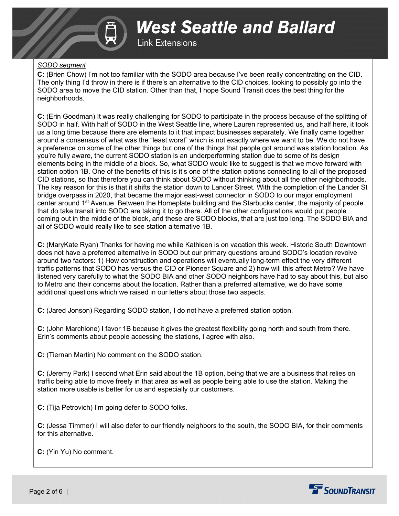

**West Seattle and Ballard Link Extensions** 

#### *SODO segment*

**C:** (Brien Chow) I'm not too familiar with the SODO area because I've been really concentrating on the CID. The only thing I'd throw in there is if there's an alternative to the CID choices, looking to possibly go into the SODO area to move the CID station. Other than that, I hope Sound Transit does the best thing for the neighborhoods.

**C:** (Erin Goodman) It was really challenging for SODO to participate in the process because of the splitting of SODO in half. With half of SODO in the West Seattle line, where Lauren represented us, and half here, it took us a long time because there are elements to it that impact businesses separately. We finally came together around a consensus of what was the "least worst" which is not exactly where we want to be. We do not have a preference on some of the other things but one of the things that people got around was station location. As you're fully aware, the current SODO station is an underperforming station due to some of its design elements being in the middle of a block. So, what SODO would like to suggest is that we move forward with station option 1B. One of the benefits of this is it's one of the station options connecting to all of the proposed CID stations, so that therefore you can think about SODO without thinking about all the other neighborhoods. The key reason for this is that it shifts the station down to Lander Street. With the completion of the Lander St bridge overpass in 2020, that became the major east-west connector in SODO to our major employment center around 1st Avenue. Between the Homeplate building and the Starbucks center, the majority of people that do take transit into SODO are taking it to go there. All of the other configurations would put people coming out in the middle of the block, and these are SODO blocks, that are just too long. The SODO BIA and all of SODO would really like to see station alternative 1B.

**C:** (MaryKate Ryan) Thanks for having me while Kathleen is on vacation this week. Historic South Downtown does not have a preferred alternative in SODO but our primary questions around SODO's location revolve around two factors: 1) How construction and operations will eventually long-term effect the very different traffic patterns that SODO has versus the CID or Pioneer Square and 2) how will this affect Metro? We have listened very carefully to what the SODO BIA and other SODO neighbors have had to say about this, but also to Metro and their concerns about the location. Rather than a preferred alternative, we do have some additional questions which we raised in our letters about those two aspects.

**C:** (Jared Jonson) Regarding SODO station, I do not have a preferred station option.

**C:** (John Marchione) I favor 1B because it gives the greatest flexibility going north and south from there. Erin's comments about people accessing the stations, I agree with also.

**C:** (Tiernan Martin) No comment on the SODO station.

**C:** (Jeremy Park) I second what Erin said about the 1B option, being that we are a business that relies on traffic being able to move freely in that area as well as people being able to use the station. Making the station more usable is better for us and especially our customers.

**C:** (Tija Petrovich) I'm going defer to SODO folks.

**C:** (Jessa Timmer) I will also defer to our friendly neighbors to the south, the SODO BIA, for their comments for this alternative.

**C:** (Yin Yu) No comment.

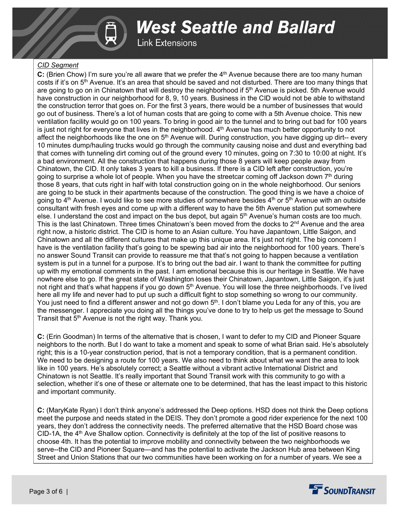

**Link Extensions** 

#### *CID Segment*

**C:** (Brien Chow) I'm sure you're all aware that we prefer the 4<sup>th</sup> Avenue because there are too many human costs if it's on 5<sup>th</sup> Avenue. It's an area that should be saved and not disturbed. There are too many things that are going to go on in Chinatown that will destroy the neighborhood if  $5<sup>th</sup>$  Avenue is picked. 5th Avenue would have construction in our neighborhood for 8, 9, 10 years. Business in the CID would not be able to withstand the construction terror that goes on. For the first 3 years, there would be a number of businesses that would go out of business. There's a lot of human costs that are going to come with a 5th Avenue choice. This new ventilation facility would go on 100 years. To bring in good air to the tunnel and to bring out bad for 100 years is just not right for everyone that lives in the neighborhood.  $4<sup>th</sup>$  Avenue has much better opportunity to not affect the neighborhoods like the one on  $5<sup>th</sup>$  Avenue will. During construction, you have digging up dirt-- every 10 minutes dump/hauling trucks would go through the community causing noise and dust and everything bad that comes with tunneling dirt coming out of the ground every 10 minutes, going on 7:30 to 10:00 at night. It's a bad environment. All the construction that happens during those 8 years will keep people away from Chinatown, the CID. It only takes 3 years to kill a business. If there is a CID left after construction, you're going to surprise a whole lot of people. When you have the streetcar coming off Jackson down 7th during those 8 years, that cuts right in half with total construction going on in the whole neighborhood. Our seniors are going to be stuck in their apartments because of the construction. The good thing is we have a choice of going to 4<sup>th</sup> Avenue. I would like to see more studies of somewhere besides 4<sup>th</sup> or 5<sup>th</sup> Avenue with an outside consultant with fresh eyes and come up with a different way to have the 5th Avenue station put somewhere else. I understand the cost and impact on the bus depot, but again  $5<sup>th</sup>$  Avenue's human costs are too much. This is the last Chinatown. Three times Chinatown's been moved from the docks to  $2<sup>nd</sup>$  Avenue and the area right now, a historic district. The CID is home to an Asian culture. You have Japantown, Little Saigon, and Chinatown and all the different cultures that make up this unique area. It's just not right. The big concern I have is the ventilation facility that's going to be spewing bad air into the neighborhood for 100 years. There's no answer Sound Transit can provide to reassure me that that's not going to happen because a ventilation system is put in a tunnel for a purpose. It's to bring out the bad air. I want to thank the committee for putting up with my emotional comments in the past. I am emotional because this is our heritage in Seattle. We have nowhere else to go. If the great state of Washington loses their Chinatown, Japantown, Little Saigon, it's just not right and that's what happens if you go down 5<sup>th</sup> Avenue. You will lose the three neighborhoods. I've lived here all my life and never had to put up such a difficult fight to stop something so wrong to our community. You just need to find a different answer and not go down 5<sup>th</sup>. I don't blame you Leda for any of this, you are the messenger. I appreciate you doing all the things you've done to try to help us get the message to Sound Transit that 5<sup>th</sup> Avenue is not the right way. Thank you.

**C:** (Erin Goodman) In terms of the alternative that is chosen, I want to defer to my CID and Pioneer Square neighbors to the north. But I do want to take a moment and speak to some of what Brian said. He's absolutely right; this is a 10-year construction period, that is not a temporary condition, that is a permanent condition. We need to be designing a route for 100 years. We also need to think about what we want the area to look like in 100 years. He's absolutely correct; a Seattle without a vibrant active International District and Chinatown is not Seattle. It's really important that Sound Transit work with this community to go with a selection, whether it's one of these or alternate one to be determined, that has the least impact to this historic and important community.

**C:** (MaryKate Ryan) I don't think anyone's addressed the Deep options. HSD does not think the Deep options meet the purpose and needs stated in the DEIS. They don't promote a good rider experience for the next 100 years, they don't address the connectivity needs. The preferred alternative that the HSD Board chose was  $CD-1A$ , the  $4<sup>th</sup>$  Ave Shallow option. Connectivity is definitely at the top of the list of positive reasons to choose 4th. It has the potential to improve mobility and connectivity between the two neighborhoods we serve--the CID and Pioneer Square—and has the potential to activate the Jackson Hub area between King Street and Union Stations that our two communities have been working on for a number of years. We see a

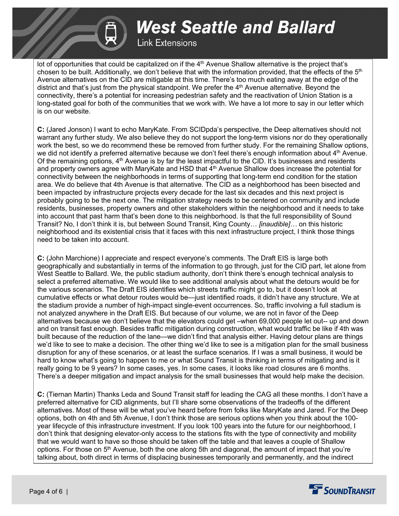# **Link Extensions**

lot of opportunities that could be capitalized on if the 4<sup>th</sup> Avenue Shallow alternative is the project that's chosen to be built. Additionally, we don't believe that with the information provided, that the effects of the  $5<sup>th</sup>$ Avenue alternatives on the CID are mitigable at this time. There's too much eating away at the edge of the district and that's just from the physical standpoint. We prefer the  $4<sup>th</sup>$  Avenue alternative. Beyond the connectivity, there's a potential for increasing pedestrian safety and the reactivation of Union Station is a long-stated goal for both of the communities that we work with. We have a lot more to say in our letter which is on our website.

**C:** (Jared Jonson) I want to echo MaryKate. From SCIDpda's perspective, the Deep alternatives should not warrant any further study. We also believe they do not support the long-term visions nor do they operationally work the best, so we do recommend these be removed from further study. For the remaining Shallow options, we did not identify a preferred alternative because we don't feel there's enough information about 4<sup>th</sup> Avenue. Of the remaining options, 4<sup>th</sup> Avenue is by far the least impactful to the CID. It's businesses and residents and property owners agree with MaryKate and HSD that 4<sup>th</sup> Avenue Shallow does increase the potential for connectivity between the neighborhoods in terms of supporting that long-term end condition for the station area. We do believe that 4th Avenue is that alternative. The CID as a neighborhood has been bisected and been impacted by infrastructure projects every decade for the last six decades and this next project is probably going to be the next one. The mitigation strategy needs to be centered on community and include residents, businesses, property owners and other stakeholders within the neighborhood and it needs to take into account that past harm that's been done to this neighborhood. Is that the full responsibility of Sound Transit? No, I don't think it is, but between Sound Transit, King County… *[inaudible]…* on this historic neighborhood and its existential crisis that it faces with this next infrastructure project, I think those things need to be taken into account.

**C:** (John Marchione) I appreciate and respect everyone's comments. The Draft EIS is large both geographically and substantially in terms of the information to go through, just for the CID part, let alone from West Seattle to Ballard. We, the public stadium authority, don't think there's enough technical analysis to select a preferred alternative. We would like to see additional analysis about what the detours would be for the various scenarios. The Draft EIS identifies which streets traffic might go to, but it doesn't look at cumulative effects or what detour routes would be—just identified roads, it didn't have any structure. We at the stadium provide a number of high-impact single-event occurrences. So, traffic involving a full stadium is not analyzed anywhere in the Draft EIS. But because of our volume, we are not in favor of the Deep alternatives because we don't believe that the elevators could get –when 69,000 people let out-- up and down and on transit fast enough. Besides traffic mitigation during construction, what would traffic be like if 4th was built because of the reduction of the lane—we didn't find that analysis either. Having detour plans are things we'd like to see to make a decision. The other thing we'd like to see is a mitigation plan for the small business disruption for any of these scenarios, or at least the surface scenarios. If I was a small business, it would be hard to know what's going to happen to me or what Sound Transit is thinking in terms of mitigating and is it really going to be 9 years? In some cases, yes. In some cases, it looks like road closures are 6 months. There's a deeper mitigation and impact analysis for the small businesses that would help make the decision.

**C:** (Tiernan Martin) Thanks Leda and Sound Transit staff for leading the CAG all these months. I don't have a preferred alternative for CID alignments, but I'll share some observations of the tradeoffs of the different alternatives. Most of these will be what you've heard before from folks like MaryKate and Jared. For the Deep options, both on 4th and 5th Avenue, I don't think those are serious options when you think about the 100 year lifecycle of this infrastructure investment. If you look 100 years into the future for our neighborhood, I don't think that designing elevator-only access to the stations fits with the type of connectivity and mobility that we would want to have so those should be taken off the table and that leaves a couple of Shallow options. For those on  $5<sup>th</sup>$  Avenue, both the one along 5th and diagonal, the amount of impact that you're talking about, both direct in terms of displacing businesses temporarily and permanently, and the indirect

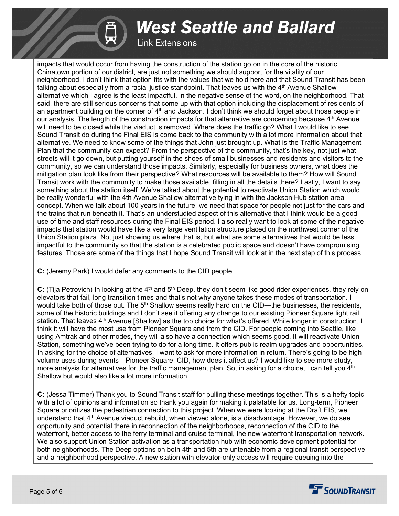**Link Extensions** 

impacts that would occur from having the construction of the station go on in the core of the historic Chinatown portion of our district, are just not something we should support for the vitality of our neighborhood. I don't think that option fits with the values that we hold here and that Sound Transit has been talking about especially from a racial justice standpoint. That leaves us with the 4<sup>th</sup> Avenue Shallow alternative which I agree is the least impactful, in the negative sense of the word, on the neighborhood. That said, there are still serious concerns that come up with that option including the displacement of residents of an apartment building on the corner of 4<sup>th</sup> and Jackson. I don't think we should forget about those people in our analysis. The length of the construction impacts for that alternative are concerning because 4<sup>th</sup> Avenue will need to be closed while the viaduct is removed. Where does the traffic go? What I would like to see Sound Transit do during the Final EIS is come back to the community with a lot more information about that alternative. We need to know some of the things that John just brought up. What is the Traffic Management Plan that the community can expect? From the perspective of the community, that's the key, not just what streets will it go down, but putting yourself in the shoes of small businesses and residents and visitors to the community, so we can understand those impacts. Similarly, especially for business owners, what does the mitigation plan look like from their perspective? What resources will be available to them? How will Sound Transit work with the community to make those available, filling in all the details there? Lastly, I want to say something about the station itself. We've talked about the potential to reactivate Union Station which would be really wonderful with the 4th Avenue Shallow alternative tying in with the Jackson Hub station area concept. When we talk about 100 years in the future, we need that space for people not just for the cars and the trains that run beneath it. That's an understudied aspect of this alternative that I think would be a good use of time and staff resources during the Final EIS period. I also really want to look at some of the negative impacts that station would have like a very large ventilation structure placed on the northwest corner of the Union Station plaza. Not just showing us where that is, but what are some alternatives that would be less impactful to the community so that the station is a celebrated public space and doesn't have compromising features. Those are some of the things that I hope Sound Transit will look at in the next step of this process.

**C:** (Jeremy Park) I would defer any comments to the CID people.

**C:** (Tija Petrovich) In looking at the 4<sup>th</sup> and 5<sup>th</sup> Deep, they don't seem like good rider experiences, they rely on elevators that fail, long transition times and that's not why anyone takes these modes of transportation. I would take both of those out. The 5<sup>th</sup> Shallow seems really hard on the CID—the businesses, the residents, some of the historic buildings and I don't see it offering any change to our existing Pioneer Square light rail station. That leaves 4<sup>th</sup> Avenue [Shallow] as the top choice for what's offered. While longer in construction, I think it will have the most use from Pioneer Square and from the CID. For people coming into Seattle, like using Amtrak and other modes, they will also have a connection which seems good. It will reactivate Union Station, something we've been trying to do for a long time. It offers public realm upgrades and opportunities. In asking for the choice of alternatives, I want to ask for more information in return. There's going to be high volume uses during events—Pioneer Square, CID, how does it affect us? I would like to see more study, more analysis for alternatives for the traffic management plan. So, in asking for a choice, I can tell you 4<sup>th</sup> Shallow but would also like a lot more information.

**C:** (Jessa Timmer) Thank you to Sound Transit staff for pulling these meetings together. This is a hefty topic with a lot of opinions and information so thank you again for making it palatable for us. Long-term, Pioneer Square prioritizes the pedestrian connection to this project. When we were looking at the Draft EIS, we understand that 4th Avenue viaduct rebuild, when viewed alone, is a disadvantage. However, we do see opportunity and potential there in reconnection of the neighborhoods, reconnection of the CID to the waterfront, better access to the ferry terminal and cruise terminal, the new waterfront transportation network. We also support Union Station activation as a transportation hub with economic development potential for both neighborhoods. The Deep options on both 4th and 5th are untenable from a regional transit perspective and a neighborhood perspective. A new station with elevator-only access will require queuing into the